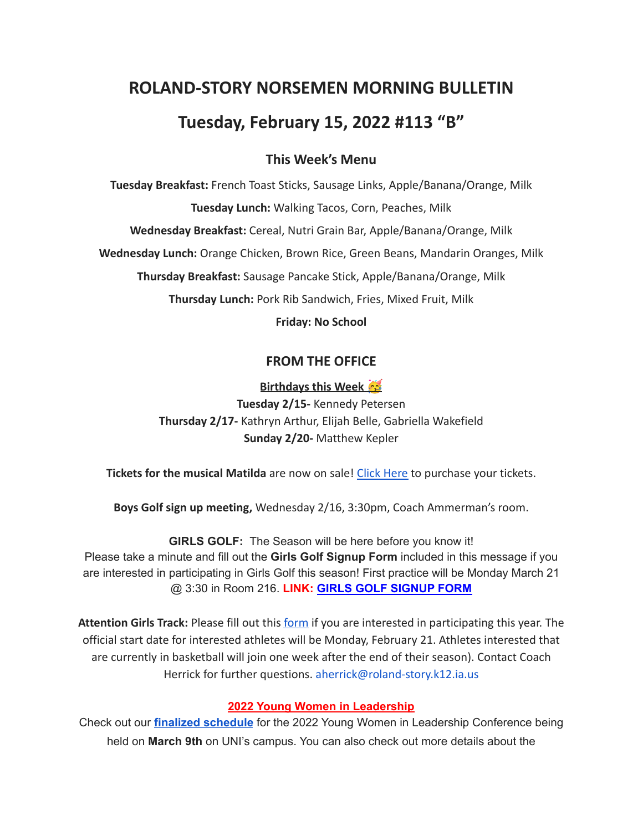# **ROLAND-STORY NORSEMEN MORNING BULLETIN Tuesday, February 15, 2022 #113 "B"**

# **This Week's Menu**

**Tuesday Breakfast:** French Toast Sticks, Sausage Links, Apple/Banana/Orange, Milk **Tuesday Lunch:** Walking Tacos, Corn, Peaches, Milk **Wednesday Breakfast:** Cereal, Nutri Grain Bar, Apple/Banana/Orange, Milk **Wednesday Lunch:** Orange Chicken, Brown Rice, Green Beans, Mandarin Oranges, Milk **Thursday Breakfast:** Sausage Pancake Stick, Apple/Banana/Orange, Milk **Thursday Lunch:** Pork Rib Sandwich, Fries, Mixed Fruit, Milk **Friday: No School**

# **FROM THE OFFICE**

## **Birthdays this Week**

**Tuesday 2/15-** Kennedy Petersen **Thursday 2/17-** Kathryn Arthur, Elijah Belle, Gabriella Wakefield **Sunday 2/20-** Matthew Kepler

**Tickets for the musical Matilda** are now on sale! Click [Here](https://events.ticketspicket.com/agency/a61f75f7-997a-4241-b0ab-0eae5600323f) to purchase your tickets.

**Boys Golf sign up meeting,** Wednesday 2/16, 3:30pm, Coach Ammerman's room.

**GIRLS GOLF:** The Season will be here before you know it! Please take a minute and fill out the **Girls Golf Signup Form** included in this message if you are interested in participating in Girls Golf this season! First practice will be Monday March 21 @ 3:30 in Room 216. **LINK: GIRLS GOLF [SIGNUP](https://forms.gle/UVm68USy2mkrWNuQ7) FORM**

**Attention Girls Track:** Please fill out this [form](https://forms.gle/DP81ofVAkQ73dqcBA) if you are interested in participating this year. The official start date for interested athletes will be Monday, February 21. Athletes interested that are currently in basketball will join one week after the end of their season). Contact Coach Herrick for further questions. aherrick@roland-story.k12.ia.us

#### **2022 Young Women in Leadership**

Check out our **finalized [schedule](http://www.uniwomeninbusiness.com/ywil-schedule.html)** for the 2022 Young Women in Leadership Conference being held on **March 9th** on UNI's campus. You can also check out more details about the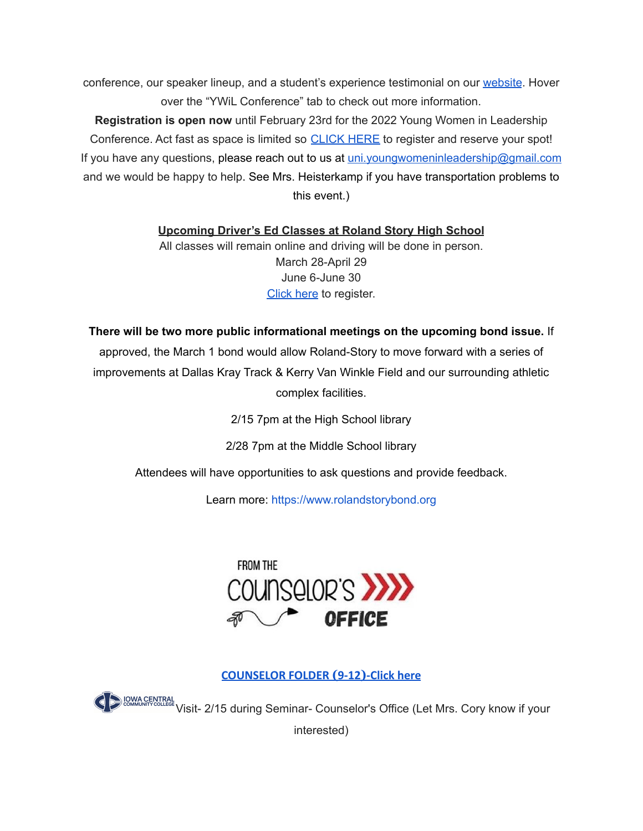conference, our speaker lineup, and a student's experience testimonial on our [website](http://www.uniwomeninbusiness.com/ywil-conference.html). Hover over the "YWiL Conference" tab to check out more information.

**Registration is open now** until February 23rd for the 2022 Young Women in Leadership Conference. Act fast as space is limited so [CLICK](https://event.formdash.org/2022/ywil/) HERE to register and reserve your spot! If you have any questions, please reach out to us at uni.youngwomeninleadership@gmail.com and we would be happy to help. See Mrs. Heisterkamp if you have transportation problems to this event.)

**Upcoming Driver's Ed Classes at Roland Story High School**

All classes will remain online and driving will be done in person. March 28-April 29 June 6-June 30 [Click](http://streetsmartsdriversed.com/) here to register.

**There will be two more public informational meetings on the upcoming bond issue.** If

approved, the March 1 bond would allow Roland-Story to move forward with a series of improvements at Dallas Kray Track & Kerry Van Winkle Field and our surrounding athletic complex facilities.

2/15 7pm at the High School library

2/28 7pm at the Middle School library

Attendees will have opportunities to ask questions and provide feedback.

Learn more: [https://www.rolandstorybond.org](https://www.rolandstorybond.org/?fbclid=IwAR3AJHhy8S8KvQsof-Z44UTrIBXDkOZFSdMyUXMovrg0bH3FkvkTprNkFuM)



## **[COUNSELOR FOLDER](https://docs.google.com/document/d/1vmwczNPbDzXe9vFaG5LJMQ7NYDv-i4oQJHybqA65TUc/edit?usp=sharing) (9-12)-Click here**

**VISIT- 2/15 during Seminar- Counselor's Office (Let Mrs. Cory know if your** 

interested)